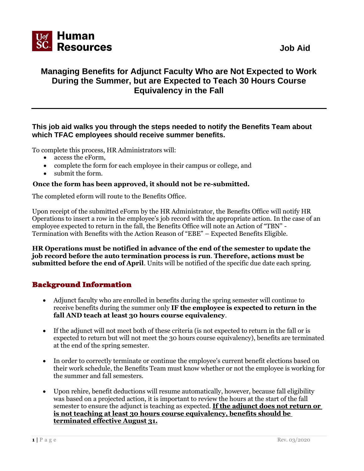

# **Managing Benefits for Adjunct Faculty Who are Not Expected to Work During the Summer, but are Expected to Teach 30 Hours Course Equivalency in the Fall**

#### **This job aid walks you through the steps needed to notify the Benefits Team about which TFAC employees should receive summer benefits.**

To complete this process, HR Administrators will:

- access the eForm,
- complete the form for each employee in their campus or college, and
- submit the form.

#### **Once the form has been approved, it should not be re-submitted.**

The completed eform will route to the Benefits Office.

 Termination with Benefits with the Action Reason of "EBE" – Expected Benefits Eligible. Upon receipt of the submitted eForm by the HR Administrator, the Benefits Office will notify HR Operations to insert a row in the employee's job record with the appropriate action. In the case of an employee expected to return in the fall, the Benefits Office will note an Action of "TBN" -

 **HR Operations must be notified in advance of the end of the semester to update the job record before the auto termination process is run**. **Therefore, actions must be submitted before the end of April**. Units will be notified of the specific due date each spring.

### Background Information

- • Adjunct faculty who are enrolled in benefits during the spring semester will continue to receive benefits during the summer only **IF the employee is expected to return in the fall AND teach at least 30 hours course equivalency**.
- • If the adjunct will not meet both of these criteria (is not expected to return in the fall or is expected to return but will not meet the 30 hours course equivalency), benefits are terminated at the end of the spring semester.
- their work schedule, the Benefits Team must know whether or not the employee is working for • In order to correctly terminate or continue the employee's current benefit elections based on the summer and fall semesters.
- semester to ensure the adjunct is teaching as expected. **If the adjunct does not return or is not teaching at least 30 hours course equivalency, benefits should be**  • Upon rehire, benefit deductions will resume automatically, however, because fall eligibility was based on a projected action, it is important to review the hours at the start of the fall **terminated effective August 31.**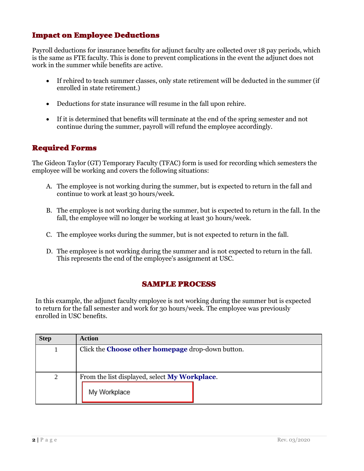## Impact on Employee Deductions

 is the same as FTE faculty. This is done to prevent complications in the event the adjunct does not Payroll deductions for insurance benefits for adjunct faculty are collected over 18 pay periods, which work in the summer while benefits are active.

- If rehired to teach summer classes, only state retirement will be deducted in the summer (if enrolled in state retirement.)
- Deductions for state insurance will resume in the fall upon rehire.
- If it is determined that benefits will terminate at the end of the spring semester and not continue during the summer, payroll will refund the employee accordingly.

## Required Forms

 The Gideon Taylor (GT) Temporary Faculty (TFAC) form is used for recording which semesters the employee will be working and covers the following situations:

- continue to work at least 30 hours/week. A. The employee is not working during the summer, but is expected to return in the fall and
- B. The employee is not working during the summer, but is expected to return in the fall. In the fall, the employee will no longer be working at least 30 hours/week.
- C. The employee works during the summer, but is not expected to return in the fall.
- D. The employee is not working during the summer and is not expected to return in the fall. This represents the end of the employee's assignment at USC.

### SAMPLE PROCESS

In this example, the adjunct faculty employee is not working during the summer but is expected to return for the fall semester and work for 30 hours/week. The employee was previously enrolled in USC benefits.

| <b>Step</b> | <b>Action</b>                                                 |
|-------------|---------------------------------------------------------------|
|             | Click the <b>Choose other homepage</b> drop-down button.      |
| 2           | From the list displayed, select My Workplace.<br>My Workplace |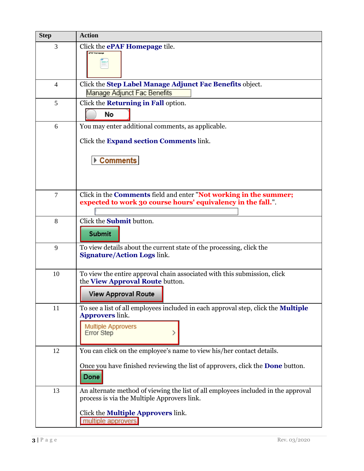| <b>Step</b>    | <b>Action</b>                                                                                                                                                                                       |
|----------------|-----------------------------------------------------------------------------------------------------------------------------------------------------------------------------------------------------|
| 3              | Click the <b>ePAF Homepage</b> tile.                                                                                                                                                                |
| $\overline{4}$ | Click the Step Label Manage Adjunct Fac Benefits object.<br>Manage Adjunct Fac Benefits                                                                                                             |
| 5              | Click the <b>Returning in Fall</b> option.<br>No                                                                                                                                                    |
| 6              | You may enter additional comments, as applicable.<br>Click the <b>Expand section Comments</b> link.<br><b>Comments</b>                                                                              |
|                |                                                                                                                                                                                                     |
| $\overline{7}$ | Click in the <b>Comments</b> field and enter " <b>Not working in the summer;</b><br>expected to work 30 course hours' equivalency in the fall.".                                                    |
| 8              | Click the <b>Submit</b> button.<br><b>Submit</b>                                                                                                                                                    |
| 9              | To view details about the current state of the processing, click the<br><b>Signature/Action Logs link.</b>                                                                                          |
| 10             | To view the entire approval chain associated with this submission, click<br>the View Approval Route button.<br><b>View Approval Route</b>                                                           |
| 11             | To see a list of all employees included in each approval step, click the <b>Multiple</b><br><b>Approvers</b> link.<br><b>Multiple Approvers</b><br><b>Error Step</b>                                |
| 12             | You can click on the employee's name to view his/her contact details.<br>Once you have finished reviewing the list of approvers, click the <b>Done</b> button.<br><b>Done</b>                       |
| 13             | An alternate method of viewing the list of all employees included in the approval<br>process is via the Multiple Approvers link.<br>Click the <b>Multiple Approvers</b> link.<br>multiple approvers |